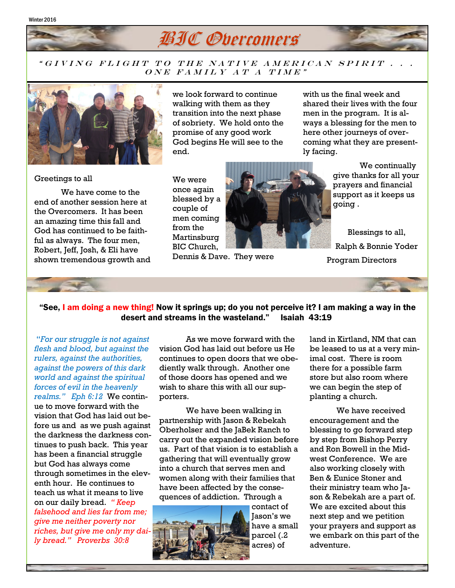#### Winter 2016



#### " GIVING FLIGHT TO THE NATIVE AMERICAN SPIRIT . . .  $\overline{ONE}$  FAMILY AT A TIME"



we look forward to continue walking with them as they transition into the next phase of sobriety. We hold onto the promise of any good work God begins He will see to the end.

with us the final week and shared their lives with the four men in the program. It is always a blessing for the men to here other journeys of overcoming what they are presently facing.

going .

Greetings to all

We have come to the end of another session here at the Overcomers. It has been an amazing time this fall and God has continued to be faithful as always. The four men, Robert, Jeff, Josh, & Eli have shown tremendous growth and We were once again blessed by a couple of men coming from the Martinsburg BIC Church,



Dennis & Dave. They were

Blessings to all, Ralph & Bonnie Yoder Program Directors

We continually

give thanks for all your prayers and financial support as it keeps us

### "See, I am doing a new thing! Now it springs up; do you not perceive it? I am making a way in the desert and streams in the wasteland." Isaiah 43:19

"*For our struggle is not against flesh and blood, but against the rulers, against the authorities, against the powers of this dark world and against the spiritual forces of evil in the heavenly realms." Eph 6:12* We continue to move forward with the vision that God has laid out before us and as we push against the darkness the darkness continues to push back. This year has been a financial struggle but God has always come through sometimes in the eleventh hour. He continues to teach us what it means to live on our daily bread. *" Keep falsehood and lies far from me; give me neither poverty nor riches, but give me only my daily bread." Proverbs 30:8*

As we move forward with the vision God has laid out before us He continues to open doors that we obediently walk through. Another one of those doors has opened and we wish to share this with all our supporters.

We have been walking in partnership with Jason & Rebekah Oberholser and the JaBek Ranch to carry out the expanded vision before us. Part of that vision is to establish a gathering that will eventually grow into a church that serves men and women along with their families that have been affected by the consequences of addiction. Through a



contact of Jason's we have a small parcel (.2 acres) of

land in Kirtland, NM that can be leased to us at a very minimal cost. There is room there for a possible farm store but also room where we can begin the step of planting a church.

We have received encouragement and the blessing to go forward step by step from Bishop Perry and Ron Bowell in the Midwest Conference. We are also working closely with Ben & Eunice Stoner and their ministry team who Jason & Rebekah are a part of. We are excited about this next step and we petition your prayers and support as we embark on this part of the adventure.